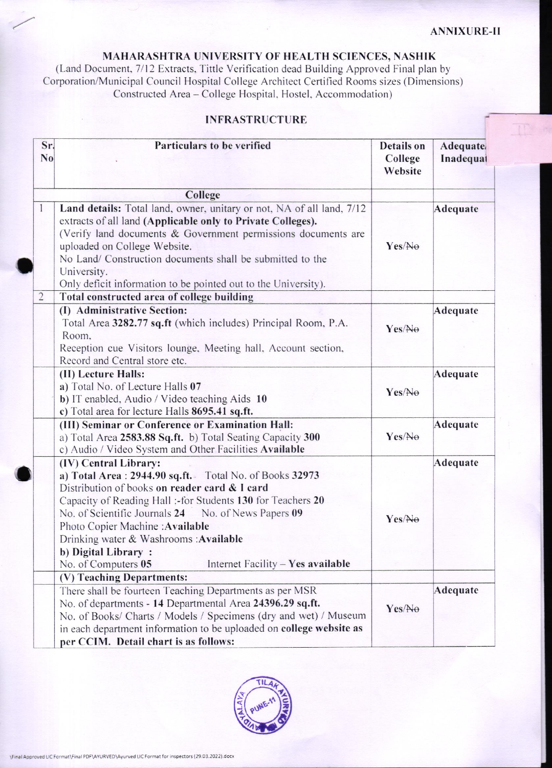## MAHARASHTRA UNIVERSITY OF HEALTH SCIENCES, NASHIK

(Land Document, 7/12 Extracts, Tittle Verification dead Building Approved Final plan by Corporation/Municipal Council Hospital College Architect Certified Rooms sizes (Dimensions)<br>Constructed Area – College Hospital, Hostel, Accommodation)

## **INFRASTRUCTURE**

| N <sub>0</sub> | Particulars to be verified                                                                                                                                                                                                                                                                                                                                                                                                                                                                                                                                                                                                                                                                                                                                                                                                                                                                                                                                                                                                                                                                                                                                    | <b>Details</b> on<br>College<br>Website | Adequate/<br>Inadequal |
|----------------|---------------------------------------------------------------------------------------------------------------------------------------------------------------------------------------------------------------------------------------------------------------------------------------------------------------------------------------------------------------------------------------------------------------------------------------------------------------------------------------------------------------------------------------------------------------------------------------------------------------------------------------------------------------------------------------------------------------------------------------------------------------------------------------------------------------------------------------------------------------------------------------------------------------------------------------------------------------------------------------------------------------------------------------------------------------------------------------------------------------------------------------------------------------|-----------------------------------------|------------------------|
|                | Sr.<br>College<br>extracts of all land (Applicable only to Private Colleges).<br>uploaded on College Website.<br>No Land/ Construction documents shall be submitted to the<br>University.<br>Only deficit information to be pointed out to the University).<br>Total constructed area of college building<br>(I) Administrative Section:<br>Total Area 3282.77 sq.ft (which includes) Principal Room, P.A.<br>Room.<br>Reception cue Visitors lounge, Meeting hall, Account section,<br>Record and Central store etc.<br>(II) Lecture Halls:<br>a) Total No. of Lecture Halls 07<br>b) IT enabled, Audio / Video teaching Aids 10<br>c) Total area for lecture Halls 8695.41 sq.ft.<br>(III) Seminar or Conference or Examination Hall:<br>a) Total Area 2583.88 Sq.ft. b) Total Seating Capacity 300<br>c) Audio / Video System and Other Facilities Available<br>(IV) Central Library:<br>a) Total Area: 2944.90 sq.ft. Total No. of Books 32973<br>Distribution of books on reader card & I card<br>Capacity of Reading Hall :- for Students 130 for Teachers 20<br>No. of Scientific Journals 24 No. of News Papers 09<br>Photo Copier Machine: Available |                                         |                        |
|                | Land details: Total land, owner, unitary or not, NA of all land, 7/12<br>(Verify land documents & Government permissions documents are                                                                                                                                                                                                                                                                                                                                                                                                                                                                                                                                                                                                                                                                                                                                                                                                                                                                                                                                                                                                                        | Yes/No                                  | Adequate               |
| $\overline{2}$ |                                                                                                                                                                                                                                                                                                                                                                                                                                                                                                                                                                                                                                                                                                                                                                                                                                                                                                                                                                                                                                                                                                                                                               |                                         |                        |
|                |                                                                                                                                                                                                                                                                                                                                                                                                                                                                                                                                                                                                                                                                                                                                                                                                                                                                                                                                                                                                                                                                                                                                                               | Yes/Ne                                  | Adequate               |
|                |                                                                                                                                                                                                                                                                                                                                                                                                                                                                                                                                                                                                                                                                                                                                                                                                                                                                                                                                                                                                                                                                                                                                                               | Yes/No                                  | Adequate               |
|                |                                                                                                                                                                                                                                                                                                                                                                                                                                                                                                                                                                                                                                                                                                                                                                                                                                                                                                                                                                                                                                                                                                                                                               | Yes/No                                  | Adequate               |
|                | Drinking water & Washrooms : Available<br>b) Digital Library:<br>No. of Computers 05<br>Internet Facility $-$ Yes available                                                                                                                                                                                                                                                                                                                                                                                                                                                                                                                                                                                                                                                                                                                                                                                                                                                                                                                                                                                                                                   | Yes/Ne                                  | Adequate               |
|                | (V) Teaching Departments:                                                                                                                                                                                                                                                                                                                                                                                                                                                                                                                                                                                                                                                                                                                                                                                                                                                                                                                                                                                                                                                                                                                                     |                                         |                        |
|                | There shall be fourteen Teaching Departments as per MSR<br>No. of departments - 14 Departmental Area 24396.29 sq.ft.<br>No. of Books/ Charts / Models / Specimens (dry and wet) / Museum<br>in each department information to be uploaded on college website as<br>per CCIM. Detail chart is as follows:                                                                                                                                                                                                                                                                                                                                                                                                                                                                                                                                                                                                                                                                                                                                                                                                                                                      | Yes/No                                  | Adequate               |